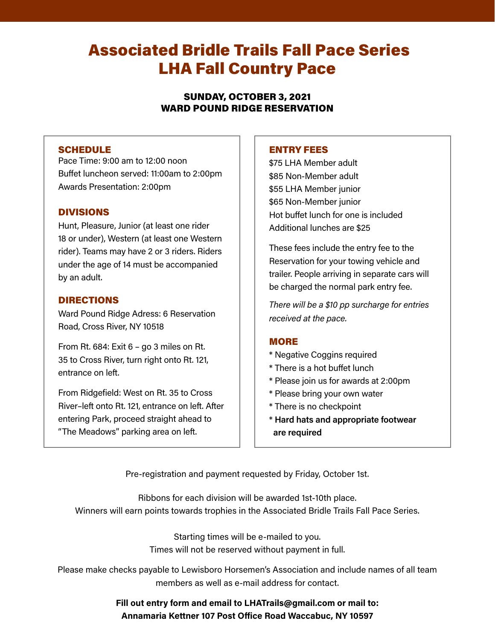# Associated Bridle Trails Fall Pace Series LHA Fall Country Pace

SUNDAY, OCTOBER 3, 2021 WARD POUND RIDGE RESERVATION

### SCHEDULE

Pace Time: 9:00 am to 12:00 noon Buffet luncheon served: 11:00am to 2:00pm Awards Presentation: 2:00pm

## DIVISIONS

Hunt, Pleasure, Junior (at least one rider 18 or under), Western (at least one Western rider). Teams may have 2 or 3 riders. Riders under the age of 14 must be accompanied by an adult.

## DIRECTIONS

Ward Pound Ridge Adress: 6 Reservation Road, Cross River, NY 10518

From Rt. 684: Exit 6 – go 3 miles on Rt. 35 to Cross River, turn right onto Rt. 121, entrance on left.

From Ridgefield: West on Rt. 35 to Cross River–left onto Rt. 121, entrance on left. After entering Park, proceed straight ahead to "The Meadows" parking area on left.

#### ENTRY FEES

\$75 LHA Member adult \$85 Non-Member adult \$55 LHA Member junior \$65 Non-Member junior Hot buffet lunch for one is included Additional lunches are \$25

These fees include the entry fee to the Reservation for your towing vehicle and trailer. People arriving in separate cars will be charged the normal park entry fee.

*There will be a \$10 pp surcharge for entries received at the pace.*

### MORE

- \* Negative Coggins required
- \* There is a hot buffet lunch
- \* Please join us for awards at 2:00pm
- \* Please bring your own water
- \* There is no checkpoint
- \* **Hard hats and appropriate footwear are required**

Pre-registration and payment requested by Friday, October 1st.

Ribbons for each division will be awarded 1st-10th place. Winners will earn points towards trophies in the Associated Bridle Trails Fall Pace Series.

> Starting times will be e-mailed to you. Times will not be reserved without payment in full.

Please make checks payable to Lewisboro Horsemen's Association and include names of all team members as well as e-mail address for contact.

# **Fill out entry form and email to LHATrails@gmail.com or mail to: Annamaria Kettner 107 Post Office Road Waccabuc, NY 10597**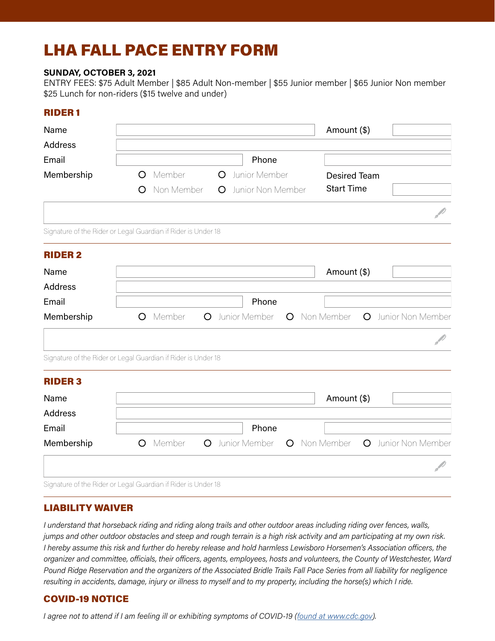# LHA FALL PACE ENTRY FORM

#### **SUNDAY, OCTOBER 3, 2021**

ENTRY FEES: \$75 Adult Member | \$85 Adult Non-member | \$55 Junior member | \$65 Junior Non member \$25 Lunch for non-riders (\$15 twelve and under)

## RIDER 1

| Name                                                          |         |                   |         |                   |         |  | Amount (\$)                      |  |  |                     |  |
|---------------------------------------------------------------|---------|-------------------|---------|-------------------|---------|--|----------------------------------|--|--|---------------------|--|
| <b>Address</b>                                                |         |                   |         |                   |         |  |                                  |  |  |                     |  |
| Email                                                         |         |                   |         | Phone             |         |  |                                  |  |  |                     |  |
| Membership                                                    | $\circ$ | Member<br>$\circ$ |         | Junior Member     |         |  | <b>Desired Team</b>              |  |  |                     |  |
|                                                               | O       | Non Member        | $\circ$ | Junior Non Member |         |  | <b>Start Time</b>                |  |  |                     |  |
|                                                               |         |                   |         |                   |         |  |                                  |  |  |                     |  |
| Signature of the Rider or Legal Guardian if Rider is Under 18 |         |                   |         |                   |         |  |                                  |  |  |                     |  |
| <b>RIDER 2</b>                                                |         |                   |         |                   |         |  |                                  |  |  |                     |  |
| Name                                                          |         |                   |         |                   |         |  | Amount (\$)                      |  |  |                     |  |
| <b>Address</b>                                                |         |                   |         |                   |         |  |                                  |  |  |                     |  |
| Email                                                         |         |                   |         | Phone             |         |  |                                  |  |  |                     |  |
| Membership                                                    |         | O Member          |         | O Junior Member   |         |  | O Non Member O Junior Non Member |  |  |                     |  |
| Signature of the Rider or Legal Guardian if Rider is Under 18 |         |                   |         |                   |         |  |                                  |  |  |                     |  |
| <b>RIDER 3</b>                                                |         |                   |         |                   |         |  |                                  |  |  |                     |  |
| Name                                                          |         |                   |         |                   |         |  | Amount (\$)                      |  |  |                     |  |
| Address                                                       |         |                   |         |                   |         |  |                                  |  |  |                     |  |
| Email                                                         |         |                   |         | Phone             |         |  |                                  |  |  |                     |  |
| Membership                                                    | $\circ$ | Member            |         | O Junior Member   | $\circ$ |  | Non Member                       |  |  | O Junior Non Member |  |
|                                                               |         |                   |         |                   |         |  |                                  |  |  |                     |  |
| Signature of the Rider or Legal Guardian if Rider is Under 18 |         |                   |         |                   |         |  |                                  |  |  |                     |  |

### LIABILITY WAIVER

*I understand that horseback riding and riding along trails and other outdoor areas including riding over fences, walls, jumps and other outdoor obstacles and steep and rough terrain is a high risk activity and am participating at my own risk. I hereby assume this risk and further do hereby release and hold harmless Lewisboro Horsemen's Association officers, the organizer and committee, officials, their officers, agents, employees, hosts and volunteers, the County of Westchester, Ward Pound Ridge Reservation and the organizers of the Associated Bridle Trails Fall Pace Series from all liability for negligence resulting in accidents, damage, injury or illness to myself and to my property, including the horse(s) which I ride.*

# COVID-19 NOTICE

*I agree not to attend if I am feeling ill or exhibiting symptoms of COVID-19 ([found a](https://www.cdc.gov/coronavirus/2019-ncov/symptoms-testing/symptoms.html)t www.cdc.gov).*